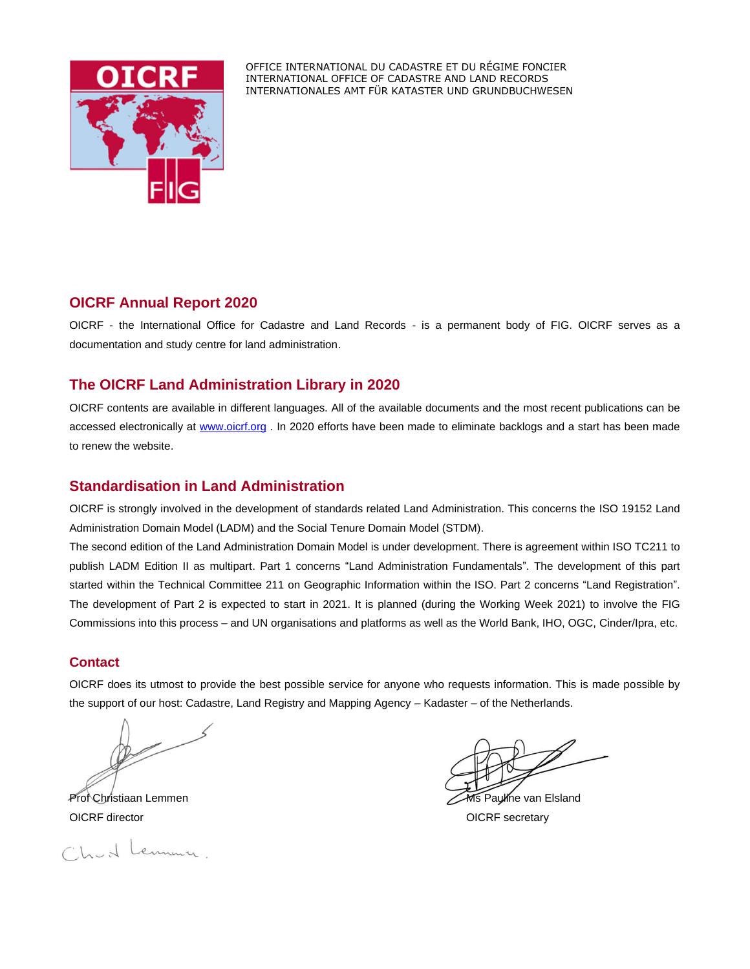

OFFICE INTERNATIONAL DU CADASTRE ET DU RÉGIME FONCIER INTERNATIONAL OFFICE OF CADASTRE AND LAND RECORDS INTERNATIONALES AMT FÜR KATASTER UND GRUNDBUCHWESEN

# **OICRF Annual Report 2020**

OICRF - the International Office for Cadastre and Land Records - is a permanent body of FIG. OICRF serves as a documentation and study centre for land administration.

# **The OICRF Land Administration Library in 2020**

OICRF contents are available in different languages. All of the available documents and the most recent publications can be accessed electronically at [www.oicrf.org](http://www.oicrf.org/) . In 2020 efforts have been made to eliminate backlogs and a start has been made to renew the website.

## **Standardisation in Land Administration**

OICRF is strongly involved in the development of standards related Land Administration. This concerns the ISO 19152 Land Administration Domain Model (LADM) and the Social Tenure Domain Model (STDM).

The second edition of the Land Administration Domain Model is under development. There is agreement within ISO TC211 to publish LADM Edition II as multipart. Part 1 concerns "Land Administration Fundamentals". The development of this part started within the Technical Committee 211 on Geographic Information within the ISO. Part 2 concerns "Land Registration". The development of Part 2 is expected to start in 2021. It is planned (during the Working Week 2021) to involve the FIG Commissions into this process – and UN organisations and platforms as well as the World Bank, IHO, OGC, Cinder/Ipra, etc.

### **Contact**

OICRF does its utmost to provide the best possible service for anyone who requests information. This is made possible by the support of our host: Cadastre, Land Registry and Mapping Agency – Kadaster – of the Netherlands.

OICRF director **OICRF** secretary

Churt Lenneur.

Prof Christiaan Lemmen Ms Pauline van Elsland